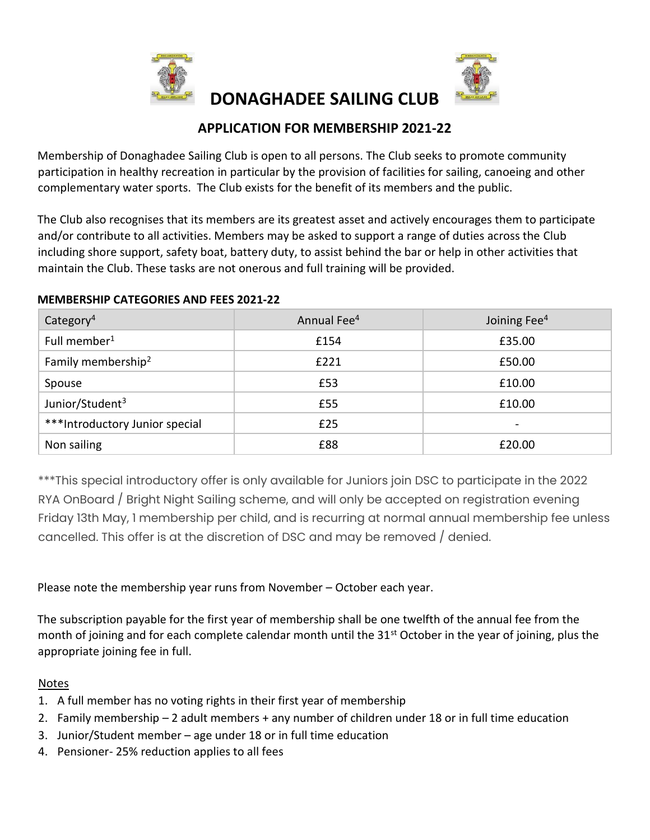

# **APPLICATION FOR MEMBERSHIP 2021-22**

 **DONAGHADEE SAILING CLUB** 

Membership of Donaghadee Sailing Club is open to all persons. The Club seeks to promote community participation in healthy recreation in particular by the provision of facilities for sailing, canoeing and other complementary water sports. The Club exists for the benefit of its members and the public.

The Club also recognises that its members are its greatest asset and actively encourages them to participate and/or contribute to all activities. Members may be asked to support a range of duties across the Club including shore support, safety boat, battery duty, to assist behind the bar or help in other activities that maintain the Club. These tasks are not onerous and full training will be provided.

| Category <sup>4</sup>          | Annual Fee <sup>4</sup> | Joining Fee <sup>4</sup> |
|--------------------------------|-------------------------|--------------------------|
| Full member <sup>1</sup>       | £154                    | £35.00                   |
| Family membership <sup>2</sup> | £221                    | £50.00                   |
| Spouse                         | £53                     | £10.00                   |
| Junior/Student <sup>3</sup>    | £55                     | £10.00                   |
| ***Introductory Junior special | £25                     | $\overline{\phantom{a}}$ |
| Non sailing                    | £88                     | £20.00                   |

#### **MEMBERSHIP CATEGORIES AND FEES 2021-22**

\*\*\*This special introductory offer is only available for Juniors join DSC to participate in the 2022 RYA OnBoard / Bright Night Sailing scheme, and will only be accepted on registration evening Friday 13th May, 1 membership per child, and is recurring at normal annual membership fee unless cancelled. This offer is at the discretion of DSC and may be removed / denied.

# Please note the membership year runs from November – October each year.

The subscription payable for the first year of membership shall be one twelfth of the annual fee from the month of joining and for each complete calendar month until the 31<sup>st</sup> October in the year of joining, plus the appropriate joining fee in full.

# Notes

- 1. A full member has no voting rights in their first year of membership
- 2. Family membership 2 adult members + any number of children under 18 or in full time education
- 3. Junior/Student member age under 18 or in full time education
- 4. Pensioner- 25% reduction applies to all fees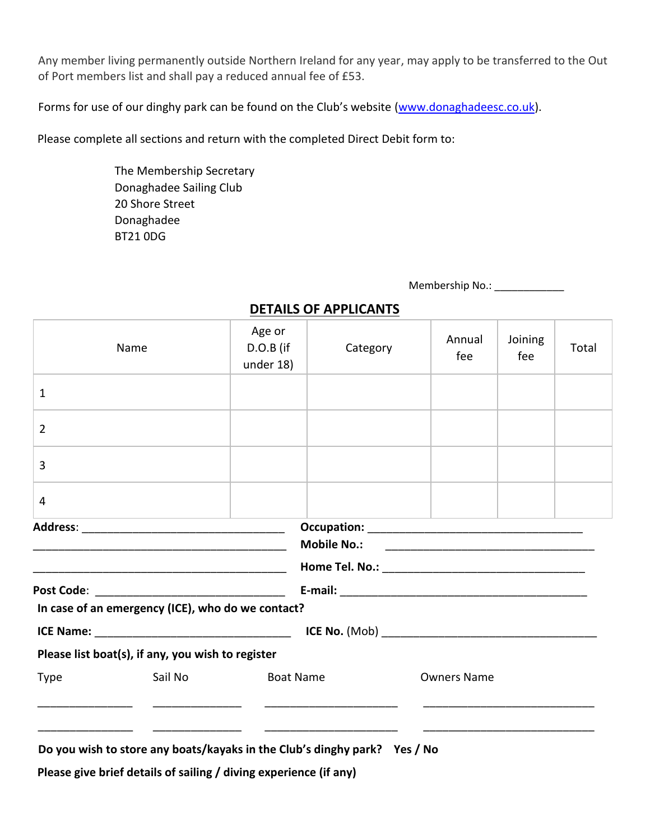Any member living permanently outside Northern Ireland for any year, may apply to be transferred to the Out of Port members list and shall pay a reduced annual fee of £53.

Forms for use of our dinghy park can be found on the Club's website [\(www.donaghadeesc.co.uk\).](http://www.donaghadeesc.co.uk/)

Please complete all sections and return with the completed Direct Debit form to:

The Membership Secretary Donaghadee Sailing Club 20 Shore Street Donaghadee BT21 0DG

Membership No.: \_\_\_\_\_\_\_\_\_\_\_\_\_

| Name                                                                                                                                           | Age or<br>D.O.B (if<br>under 18) | Category           | Annual<br>fee | Total |  |  |  |  |
|------------------------------------------------------------------------------------------------------------------------------------------------|----------------------------------|--------------------|---------------|-------|--|--|--|--|
| $\mathbf{1}$                                                                                                                                   |                                  |                    |               |       |  |  |  |  |
| $\overline{2}$                                                                                                                                 |                                  |                    |               |       |  |  |  |  |
| 3                                                                                                                                              |                                  |                    |               |       |  |  |  |  |
| 4                                                                                                                                              |                                  |                    |               |       |  |  |  |  |
|                                                                                                                                                |                                  |                    |               |       |  |  |  |  |
| In case of an emergency (ICE), who do we contact?                                                                                              |                                  |                    |               |       |  |  |  |  |
|                                                                                                                                                |                                  |                    |               |       |  |  |  |  |
| Please list boat(s), if any, you wish to register                                                                                              |                                  |                    |               |       |  |  |  |  |
| Sail No<br><b>Type</b>                                                                                                                         | <b>Boat Name</b>                 | <b>Owners Name</b> |               |       |  |  |  |  |
| Do you wish to store any boats/kayaks in the Club's dinghy park? Yes / No<br>Please give brief details of sailing / diving experience (if any) |                                  |                    |               |       |  |  |  |  |

# **DETAILS OF APPLICANTS**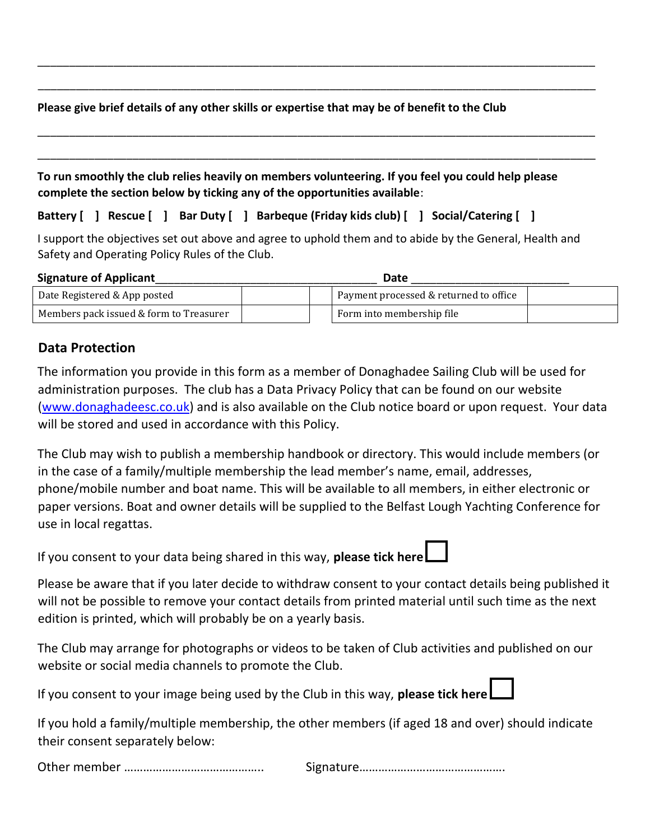### **Please give brief details of any other skills or expertise that may be of benefit to the Club**

| To run smoothly the club relies heavily on members volunteering. If you feel you could help please |
|----------------------------------------------------------------------------------------------------|
| complete the section below by ticking any of the opportunities available:                          |

\_\_\_\_\_\_\_\_\_\_\_\_\_\_\_\_\_\_\_\_\_\_\_\_\_\_\_\_\_\_\_\_\_\_\_\_\_\_\_\_\_\_\_\_\_\_\_\_\_\_\_\_\_\_\_\_\_\_\_\_\_\_\_\_\_\_\_\_\_\_\_\_\_\_\_\_\_\_\_\_\_\_\_\_\_\_\_\_

\_\_\_\_\_\_\_\_\_\_\_\_\_\_\_\_\_\_\_\_\_\_\_\_\_\_\_\_\_\_\_\_\_\_\_\_\_\_\_\_\_\_\_\_\_\_\_\_\_\_\_\_\_\_\_\_\_\_\_\_\_\_\_\_\_\_\_\_\_\_\_\_\_\_\_\_\_\_\_\_\_\_\_\_\_\_\_\_

\_\_\_\_\_\_\_\_\_\_\_\_\_\_\_\_\_\_\_\_\_\_\_\_\_\_\_\_\_\_\_\_\_\_\_\_\_\_\_\_\_\_\_\_\_\_\_\_\_\_\_\_\_\_\_\_\_\_\_\_\_\_\_\_\_\_\_\_\_\_\_\_\_\_\_\_\_\_\_\_\_\_\_\_\_\_\_\_

**Battery [ ] Rescue [ ] Bar Duty [ ] Barbeque (Friday kids club) [ ] Social/Catering [ ]**

I support the objectives set out above and agree to uphold them and to abide by the General, Health and Safety and Operating Policy Rules of the Club.

#### **Signature of Applicant**\_\_\_\_\_\_\_\_\_\_\_\_\_\_\_\_\_\_\_\_\_\_\_\_\_\_\_\_\_\_\_\_\_\_\_ **Date** \_\_\_\_\_\_\_\_\_\_\_\_\_\_\_\_\_\_\_\_\_\_\_\_\_

| Date Registered & App posted            |  | I Payment processed & returned to office |  |
|-----------------------------------------|--|------------------------------------------|--|
| Members pack issued & form to Treasurer |  | Form into membership file                |  |

# **Data Protection**

The information you provide in this form as a member of Donaghadee Sailing Club will be used for administration purposes. The club has a Data Privacy Policy that can be found on our website [\(www.donaghadeesc.co.uk\)](http://www.donaghadeesc.co.uk/) and is also available on the Club notice board or upon request. Your data will be stored and used in accordance with this Policy.

The Club may wish to publish a membership handbook or directory. This would include members (or in the case of a family/multiple membership the lead member's name, email, addresses, phone/mobile number and boat name. This will be available to all members, in either electronic or paper versions. Boat and owner details will be supplied to the Belfast Lough Yachting Conference for use in local regattas.

If you consent to your data being shared in this way, **please tick here**

Please be aware that if you later decide to withdraw consent to your contact details being published it will not be possible to remove your contact details from printed material until such time as the next edition is printed, which will probably be on a yearly basis.

The Club may arrange for photographs or videos to be taken of Club activities and published on our website or social media channels to promote the Club.

If you consent to your image being used by the Club in this way, **please tick here**

If you hold a family/multiple membership, the other members (if aged 18 and over) should indicate their consent separately below:

|--|--|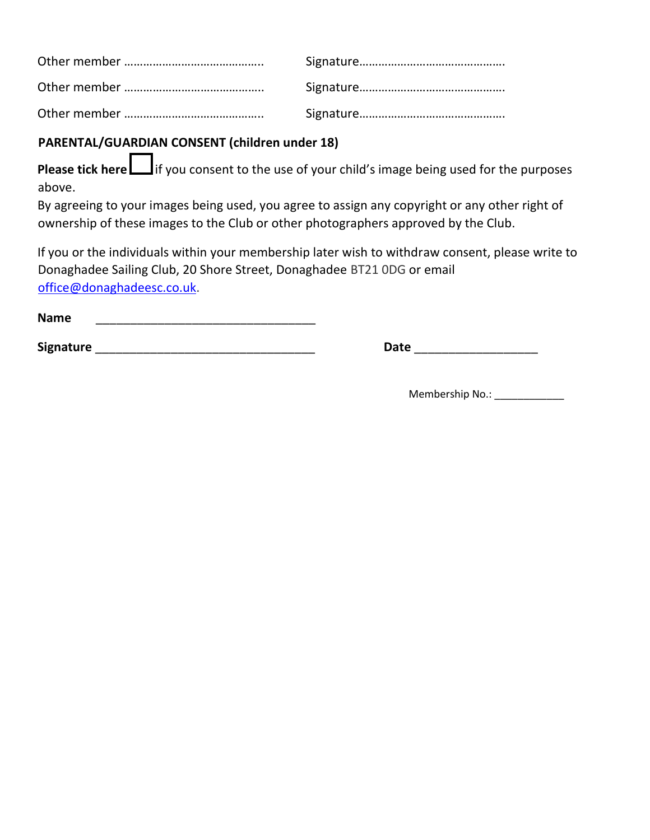# **PARENTAL/GUARDIAN CONSENT (children under 18)**

**Please tick here** if you consent to the use of your child's image being used for the purposes above.

By agreeing to your images being used, you agree to assign any copyright or any other right of ownership of these images to the Club or other photographers approved by the Club.

If you or the individuals within your membership later wish to withdraw consent, please write to Donaghadee Sailing Club, 20 Shore Street, Donaghadee BT21 0DG or email office@donaghadeesc.co.uk.

| <b>Name</b> |  |  |
|-------------|--|--|
|             |  |  |

**Signature** \_\_\_\_\_\_\_\_\_\_\_\_\_\_\_\_\_\_\_\_\_\_\_\_\_\_\_\_\_\_\_\_ **Date** \_\_\_\_\_\_\_\_\_\_\_\_\_\_\_\_\_\_

Membership No.: \_\_\_\_\_\_\_\_\_\_\_\_\_\_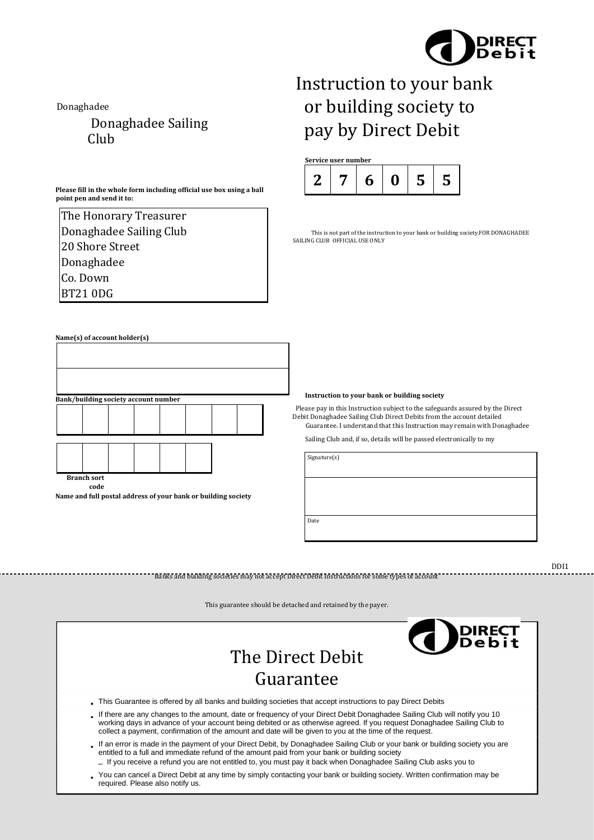

Donaghadee

Donaghadee Sailing Club

**Please fill in the whole form including official use box using a ball point pen and send it to:** 

| The Honorary Treasurer  |
|-------------------------|
| Donaghadee Sailing Club |
| 20 Shore Street         |
| Donaghadee              |
| Co. Down                |
| <b>BT210DG</b>          |

# **Name(s) of account holder(s) Bank/building society account number**

**Branch sort code** 

**Name and full postal address of your bank or building society** 

Instruction to your bank or building society to pay by Direct Debit



This is not part of the instruction to your bank or building society.FOR DONAGHADEE SAILING CLUB OFFICIAL USE ONLY

#### **Instruction to your bank or building society**

Please pay in this Instruction subject to the safeguards assured by the Direct Debit Donaghadee Sailing Club Direct Debits from the account detailed Guarantee. I understand that this Instruction may remain with Donaghadee

Sailing Club and, if so, details will be passed electronically to my

Signature(s)

Date

DDI1



Banks and building societies may not accept Direct Debit Instructions for some types of account

This guarantee should be detached and retained by the payer.

- This Guarantee is offered by all banks and building societies that accept instructions to pay Direct Debits
- If there are any changes to the amount, date or frequency of your Direct Debit Donaghadee Sailing Club will notify you 10 working days in advance of your account being debited or as otherwise agreed. If you request Donaghadee Sailing Club to collect a payment, confirmation of the amount and date will be given to you at the time of the request.
- If an error is made in the payment of your Direct Debit, by Donaghadee Sailing Club or your bank or building society you are entitled to a full and immediate refund of the amount paid from your bank or building society
- If you receive a refund you are not entitled to, you must pay it back when Donaghadee Sailing Club asks you to
- You can cancel a Direct Debit at any time by simply contacting your bank or building society. Written confirmation may be required. Please also notify us.